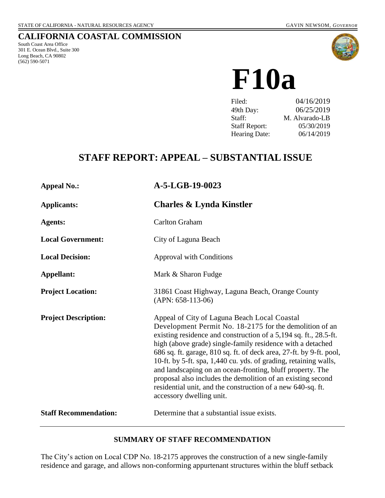## **CALIFORNIA COASTAL COMMISSION**

South Coast Area Office 301 E. Ocean Blvd., Suite 300 Long Beach, CA 90802 (562) 590-5071



**F10a**

| Filed:               | 04/16/2019     |
|----------------------|----------------|
| 49th Day:            | 06/25/2019     |
| Staff:               | M. Alvarado-LB |
| <b>Staff Report:</b> | 05/30/2019     |
| <b>Hearing Date:</b> | 06/14/2019     |
|                      |                |

# **STAFF REPORT: APPEAL – SUBSTANTIAL ISSUE**

| <b>Appeal No.:</b>           | A-5-LGB-19-0023                                                                                                                                                                                                                                                                                                                                                                                                                                                                                                                                                                                             |
|------------------------------|-------------------------------------------------------------------------------------------------------------------------------------------------------------------------------------------------------------------------------------------------------------------------------------------------------------------------------------------------------------------------------------------------------------------------------------------------------------------------------------------------------------------------------------------------------------------------------------------------------------|
| <b>Applicants:</b>           | <b>Charles &amp; Lynda Kinstler</b>                                                                                                                                                                                                                                                                                                                                                                                                                                                                                                                                                                         |
| <b>Agents:</b>               | <b>Carlton Graham</b>                                                                                                                                                                                                                                                                                                                                                                                                                                                                                                                                                                                       |
| <b>Local Government:</b>     | City of Laguna Beach                                                                                                                                                                                                                                                                                                                                                                                                                                                                                                                                                                                        |
| <b>Local Decision:</b>       | <b>Approval with Conditions</b>                                                                                                                                                                                                                                                                                                                                                                                                                                                                                                                                                                             |
| Appellant:                   | Mark & Sharon Fudge                                                                                                                                                                                                                                                                                                                                                                                                                                                                                                                                                                                         |
| <b>Project Location:</b>     | 31861 Coast Highway, Laguna Beach, Orange County<br>$(APN: 658-113-06)$                                                                                                                                                                                                                                                                                                                                                                                                                                                                                                                                     |
| <b>Project Description:</b>  | Appeal of City of Laguna Beach Local Coastal<br>Development Permit No. 18-2175 for the demolition of an<br>existing residence and construction of a 5,194 sq. ft., 28.5-ft.<br>high (above grade) single-family residence with a detached<br>686 sq. ft. garage, 810 sq. ft. of deck area, 27-ft. by 9-ft. pool,<br>10-ft. by 5-ft. spa, 1,440 cu. yds. of grading, retaining walls,<br>and landscaping on an ocean-fronting, bluff property. The<br>proposal also includes the demolition of an existing second<br>residential unit, and the construction of a new 640-sq. ft.<br>accessory dwelling unit. |
| <b>Staff Recommendation:</b> | Determine that a substantial issue exists.                                                                                                                                                                                                                                                                                                                                                                                                                                                                                                                                                                  |

#### **SUMMARY OF STAFF RECOMMENDATION**

The City's action on Local CDP No. 18-2175 approves the construction of a new single-family residence and garage, and allows non-conforming appurtenant structures within the bluff setback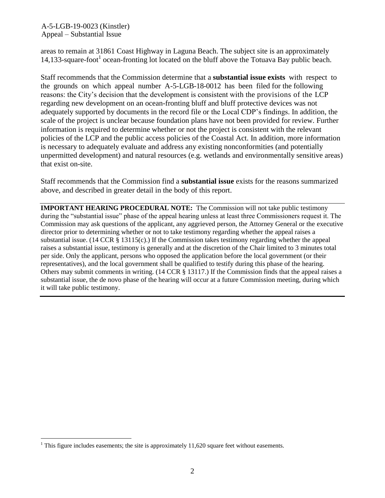A-5-LGB-19-0023 (Kinstler) Appeal – Substantial Issue

areas to remain at 31861 Coast Highway in Laguna Beach. The subject site is an approximately 14,133-square-foot<sup>1</sup> ocean-fronting lot located on the bluff above the Totuava Bay public beach.

Staff recommends that the Commission determine that a **substantial issue exists** with respect to the grounds on which appeal number A-5-LGB-18-0012 has been filed for the following reasons: the City's decision that the development is consistent with the provisions of the LCP regarding new development on an ocean-fronting bluff and bluff protective devices was not adequately supported by documents in the record file or the Local CDP's findings. In addition, the scale of the project is unclear because foundation plans have not been provided for review. Further information is required to determine whether or not the project is consistent with the relevant policies of the LCP and the public access policies of the Coastal Act. In addition, more information is necessary to adequately evaluate and address any existing nonconformities (and potentially unpermitted development) and natural resources (e.g. wetlands and environmentally sensitive areas) that exist on-site.

Staff recommends that the Commission find a **substantial issue** exists for the reasons summarized above, and described in greater detail in the body of this report.

**IMPORTANT HEARING PROCEDURAL NOTE:** The Commission will not take public testimony during the "substantial issue" phase of the appeal hearing unless at least three Commissioners request it. The Commission may ask questions of the applicant, any aggrieved person, the Attorney General or the executive director prior to determining whether or not to take testimony regarding whether the appeal raises a substantial issue. (14 CCR  $\S$  13115(c).) If the Commission takes testimony regarding whether the appeal raises a substantial issue, testimony is generally and at the discretion of the Chair limited to 3 minutes total per side. Only the applicant, persons who opposed the application before the local government (or their representatives), and the local government shall be qualified to testify during this phase of the hearing. Others may submit comments in writing. (14 CCR § 13117.) If the Commission finds that the appeal raises a substantial issue, the de novo phase of the hearing will occur at a future Commission meeting, during which it will take public testimony.

 $\overline{a}$ 

<sup>&</sup>lt;sup>1</sup> This figure includes easements; the site is approximately  $11,620$  square feet without easements.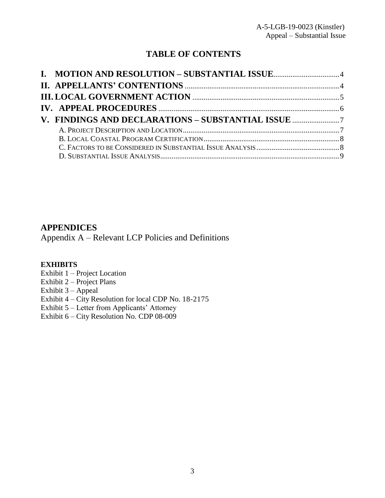## **TABLE OF CONTENTS**

| V. FINDINGS AND DECLARATIONS - SUBSTANTIAL ISSUE |  |
|--------------------------------------------------|--|
|                                                  |  |
|                                                  |  |
|                                                  |  |
|                                                  |  |

## **APPENDICES**

[Appendix A – Relevant LCP Policies and Definitions](#page-25-0)

### **EXHIBITS**

- Exhibit 1 Project Location
- Exhibit 2 Project Plans
- Exhibit 3 Appeal
- Exhibit 4 City Resolution for local CDP No. 18-2175
- Exhibit 5 Letter from Applicants' Attorney
- Exhibit 6 [City Resolution No. CDP 08-009](https://documents.coastal.ca.gov/reports/2019/6/f10a/f10a-6-2019-exhibits.pdf)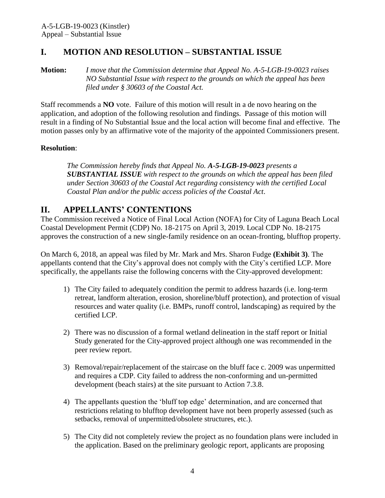## <span id="page-3-0"></span>**I. MOTION AND RESOLUTION – SUBSTANTIAL ISSUE**

**Motion:** *I move that the Commission determine that Appeal No. A-5-LGB-19-0023 raises NO Substantial Issue with respect to the grounds on which the appeal has been filed under § 30603 of the Coastal Act.*

Staff recommends a **NO** vote. Failure of this motion will result in a de novo hearing on the application, and adoption of the following resolution and findings. Passage of this motion will result in a finding of No Substantial Issue and the local action will become final and effective. The motion passes only by an affirmative vote of the majority of the appointed Commissioners present.

#### **Resolution**:

*The Commission hereby finds that Appeal No. A-5-LGB-19-0023 presents a SUBSTANTIAL ISSUE with respect to the grounds on which the appeal has been filed under Section 30603 of the Coastal Act regarding consistency with the certified Local Coastal Plan and/or the public access policies of the Coastal Act*.

## <span id="page-3-1"></span>**II. APPELLANTS' CONTENTIONS**

The Commission received a Notice of Final Local Action (NOFA) for City of Laguna Beach Local Coastal Development Permit (CDP) No. 18-2175 on April 3, 2019. Local CDP No. 18-2175 approves the construction of a new single-family residence on an ocean-fronting, blufftop property.

On March 6, 2018, an appeal was filed by Mr. Mark and Mrs. Sharon Fudge **[\(Exhibit 3\)](https://documents.coastal.ca.gov/reports/2019/6/f10a/f10a-6-2019-exhibits.pdf)**. The appellants contend that the City's approval does not comply with the City's certified LCP. More specifically, the appellants raise the following concerns with the City-approved development:

- 1) The City failed to adequately condition the permit to address hazards (i.e. long-term retreat, landform alteration, erosion, shoreline/bluff protection), and protection of visual resources and water quality (i.e. BMPs, runoff control, landscaping) as required by the certified LCP.
- 2) There was no discussion of a formal wetland delineation in the staff report or Initial Study generated for the City-approved project although one was recommended in the peer review report.
- 3) Removal/repair/replacement of the staircase on the bluff face c. 2009 was unpermitted and requires a CDP. City failed to address the non-conforming and un-permitted development (beach stairs) at the site pursuant to Action 7.3.8.
- 4) The appellants question the 'bluff top edge' determination, and are concerned that restrictions relating to blufftop development have not been properly assessed (such as setbacks, removal of unpermitted/obsolete structures, etc.).
- 5) The City did not completely review the project as no foundation plans were included in the application. Based on the preliminary geologic report, applicants are proposing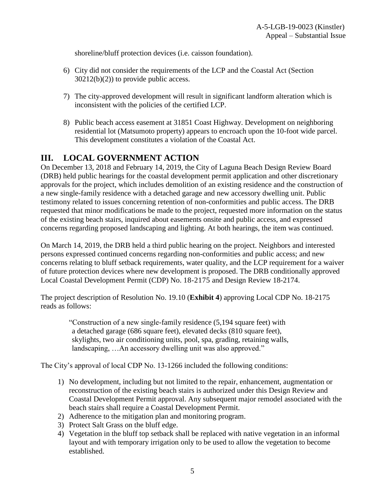shoreline/bluff protection devices (i.e. caisson foundation).

- 6) City did not consider the requirements of the LCP and the Coastal Act (Section  $30212(b)(2)$  to provide public access.
- 7) The city-approved development will result in significant landform alteration which is inconsistent with the policies of the certified LCP.
- 8) Public beach access easement at 31851 Coast Highway. Development on neighboring residential lot (Matsumoto property) appears to encroach upon the 10-foot wide parcel. This development constitutes a violation of the Coastal Act.

## <span id="page-4-0"></span>**III. LOCAL GOVERNMENT ACTION**

On December 13, 2018 and February 14, 2019, the City of Laguna Beach Design Review Board (DRB) held public hearings for the coastal development permit application and other discretionary approvals for the project, which includes demolition of an existing residence and the construction of a new single-family residence with a detached garage and new accessory dwelling unit. Public testimony related to issues concerning retention of non-conformities and public access. The DRB requested that minor modifications be made to the project, requested more information on the status of the existing beach stairs, inquired about easements onsite and public access, and expressed concerns regarding proposed landscaping and lighting. At both hearings, the item was continued.

On March 14, 2019, the DRB held a third public hearing on the project. Neighbors and interested persons expressed continued concerns regarding non-conformities and public access; and new concerns relating to bluff setback requirements, water quality, and the LCP requirement for a waiver of future protection devices where new development is proposed. The DRB conditionally approved Local Coastal Development Permit (CDP) No. 18-2175 and Design Review 18-2174.

The project description of Resolution No. 19.10 (**[Exhibit 4](https://documents.coastal.ca.gov/reports/2019/6/f10a/f10a-6-2019-exhibits.pdf)**) approving Local CDP No. 18-2175 reads as follows:

"Construction of a new single-family residence (5,194 square feet) with a detached garage (686 square feet), elevated decks (810 square feet), skylights, two air conditioning units, pool, spa, grading, retaining walls, landscaping, …An accessory dwelling unit was also approved."

The City's approval of local CDP No. 13-1266 included the following conditions:

- 1) No development, including but not limited to the repair, enhancement, augmentation or reconstruction of the existing beach stairs is authorized under this Design Review and Coastal Development Permit approval. Any subsequent major remodel associated with the beach stairs shall require a Coastal Development Permit.
- 2) Adherence to the mitigation plan and monitoring program.
- 3) Protect Salt Grass on the bluff edge.
- 4) Vegetation in the bluff top setback shall be replaced with native vegetation in an informal layout and with temporary irrigation only to be used to allow the vegetation to become established.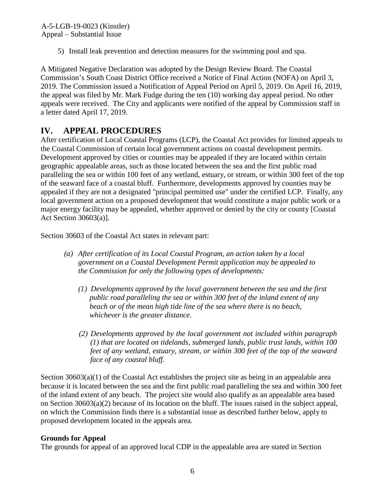5) Install leak prevention and detection measures for the swimming pool and spa.

A Mitigated Negative Declaration was adopted by the Design Review Board. The Coastal Commission's South Coast District Office received a Notice of Final Action (NOFA) on April 3, 2019. The Commission issued a Notification of Appeal Period on April 5, 2019. On April 16, 2019, the appeal was filed by Mr. Mark Fudge during the ten (10) working day appeal period. No other appeals were received. The City and applicants were notified of the appeal by Commission staff in a letter dated April 17, 2019.

# <span id="page-5-0"></span>**IV. APPEAL PROCEDURES**

After certification of Local Coastal Programs (LCP), the Coastal Act provides for limited appeals to the Coastal Commission of certain local government actions on coastal development permits. Development approved by cities or counties may be appealed if they are located within certain geographic appealable areas, such as those located between the sea and the first public road paralleling the sea or within 100 feet of any wetland, estuary, or stream, or within 300 feet of the top of the seaward face of a coastal bluff. Furthermore, developments approved by counties may be appealed if they are not a designated "principal permitted use" under the certified LCP. Finally, any local government action on a proposed development that would constitute a major public work or a major energy facility may be appealed, whether approved or denied by the city or county [Coastal Act Section 30603(a)].

Section 30603 of the Coastal Act states in relevant part:

- *(a) After certification of its Local Coastal Program, an action taken by a local government on a Coastal Development Permit application may be appealed to the Commission for only the following types of developments:*
	- *(1) Developments approved by the local government between the sea and the first public road paralleling the sea or within 300 feet of the inland extent of any beach or of the mean high tide line of the sea where there is no beach, whichever is the greater distance.*
	- *(2) Developments approved by the local government not included within paragraph (1) that are located on tidelands, submerged lands, public trust lands, within 100 feet of any wetland, estuary, stream, or within 300 feet of the top of the seaward face of any coastal bluff.*

Section  $30603(a)(1)$  of the Coastal Act establishes the project site as being in an appealable area because it is located between the sea and the first public road paralleling the sea and within 300 feet of the inland extent of any beach. The project site would also qualify as an appealable area based on Section 30603(a)(2) because of its location on the bluff. The issues raised in the subject appeal, on which the Commission finds there is a substantial issue as described further below, apply to proposed development located in the appeals area.

#### **Grounds for Appeal**

The grounds for appeal of an approved local CDP in the appealable area are stated in Section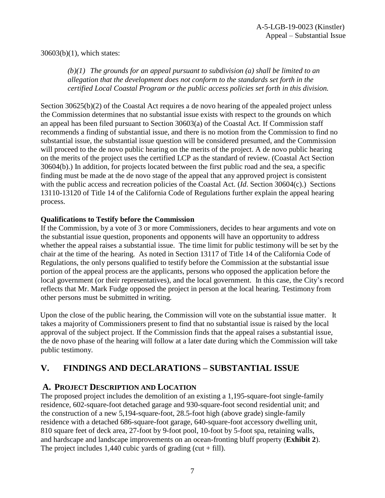#### 30603(b)(1), which states:

*(b)(1) The grounds for an appeal pursuant to subdivision (a) shall be limited to an allegation that the development does not conform to the standards set forth in the certified Local Coastal Program or the public access policies set forth in this division.*

Section 30625(b)(2) of the Coastal Act requires a de novo hearing of the appealed project unless the Commission determines that no substantial issue exists with respect to the grounds on which an appeal has been filed pursuant to Section 30603(a) of the Coastal Act. If Commission staff recommends a finding of substantial issue, and there is no motion from the Commission to find no substantial issue, the substantial issue question will be considered presumed, and the Commission will proceed to the de novo public hearing on the merits of the project. A de novo public hearing on the merits of the project uses the certified LCP as the standard of review. (Coastal Act Section 30604(b).) In addition, for projects located between the first public road and the sea, a specific finding must be made at the de novo stage of the appeal that any approved project is consistent with the public access and recreation policies of the Coastal Act. (*Id*. Section 30604(c).) Sections 13110-13120 of Title 14 of the California Code of Regulations further explain the appeal hearing process.

#### **Qualifications to Testify before the Commission**

If the Commission, by a vote of 3 or more Commissioners, decides to hear arguments and vote on the substantial issue question, proponents and opponents will have an opportunity to address whether the appeal raises a substantial issue. The time limit for public testimony will be set by the chair at the time of the hearing. As noted in Section 13117 of Title 14 of the California Code of Regulations, the only persons qualified to testify before the Commission at the substantial issue portion of the appeal process are the applicants, persons who opposed the application before the local government (or their representatives), and the local government. In this case, the City's record reflects that Mr. Mark Fudge opposed the project in person at the local hearing. Testimony from other persons must be submitted in writing.

Upon the close of the public hearing, the Commission will vote on the substantial issue matter. It takes a majority of Commissioners present to find that no substantial issue is raised by the local approval of the subject project. If the Commission finds that the appeal raises a substantial issue, the de novo phase of the hearing will follow at a later date during which the Commission will take public testimony.

## <span id="page-6-0"></span>**V. FINDINGS AND DECLARATIONS – SUBSTANTIAL ISSUE**

### <span id="page-6-1"></span>**A. PROJECT DESCRIPTION AND LOCATION**

The proposed project includes the demolition of an existing a 1,195-square-foot single-family residence, 602-square-foot detached garage and 930-square-foot second residential unit; and the construction of a new 5,194-square-foot, 28.5-foot high (above grade) single-family residence with a detached 686-square-foot garage, 640-square-foot accessory dwelling unit, 810 square feet of deck area, 27-foot by 9-foot pool, 10-foot by 5-foot spa, retaining walls, and hardscape and landscape improvements on an ocean-fronting bluff property (**[Exhibit 2](https://documents.coastal.ca.gov/reports/2019/6/f10a/f10a-6-2019-exhibits.pdf)**). The project includes 1,440 cubic yards of grading (cut  $+$  fill).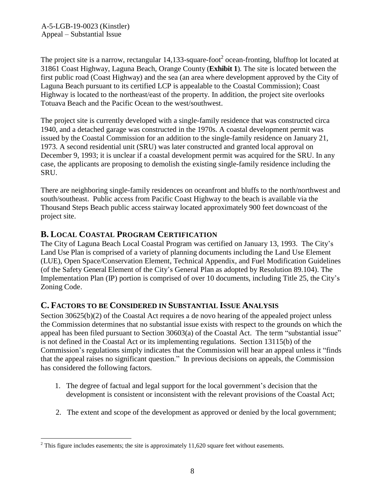The project site is a narrow, rectangular 14,133-square-foot<sup>2</sup> ocean-fronting, blufftop lot located at 31861 Coast Highway, Laguna Beach, Orange County (**[Exhibit 1](https://documents.coastal.ca.gov/reports/2019/6/f10a/f10a-6-2019-exhibits.pdf)**). The site is located between the first public road (Coast Highway) and the sea (an area where development approved by the City of Laguna Beach pursuant to its certified LCP is appealable to the Coastal Commission); Coast Highway is located to the northeast/east of the property. In addition, the project site overlooks Totuava Beach and the Pacific Ocean to the west/southwest.

The project site is currently developed with a single-family residence that was constructed circa 1940, and a detached garage was constructed in the 1970s. A coastal development permit was issued by the Coastal Commission for an addition to the single-family residence on January 21, 1973. A second residential unit (SRU) was later constructed and granted local approval on December 9, 1993; it is unclear if a coastal development permit was acquired for the SRU. In any case, the applicants are proposing to demolish the existing single-family residence including the SRU.

There are neighboring single-family residences on oceanfront and bluffs to the north/northwest and south/southeast. Public access from Pacific Coast Highway to the beach is available via the Thousand Steps Beach public access stairway located approximately 900 feet downcoast of the project site.

## <span id="page-7-0"></span>**B. LOCAL COASTAL PROGRAM CERTIFICATION**

The City of Laguna Beach Local Coastal Program was certified on January 13, 1993. The City's Land Use Plan is comprised of a variety of planning documents including the Land Use Element (LUE), Open Space/Conservation Element, Technical Appendix, and Fuel Modification Guidelines (of the Safety General Element of the City's General Plan as adopted by Resolution 89.104). The Implementation Plan (IP) portion is comprised of over 10 documents, including Title 25, the City's Zoning Code.

## <span id="page-7-1"></span>**C. FACTORS TO BE CONSIDERED IN SUBSTANTIAL ISSUE ANALYSIS**

Section 30625(b)(2) of the Coastal Act requires a de novo hearing of the appealed project unless the Commission determines that no substantial issue exists with respect to the grounds on which the appeal has been filed pursuant to Section 30603(a) of the Coastal Act. The term "substantial issue" is not defined in the Coastal Act or its implementing regulations. Section 13115(b) of the Commission's regulations simply indicates that the Commission will hear an appeal unless it "finds that the appeal raises no significant question." In previous decisions on appeals, the Commission has considered the following factors.

- 1. The degree of factual and legal support for the local government's decision that the development is consistent or inconsistent with the relevant provisions of the Coastal Act;
- 2. The extent and scope of the development as approved or denied by the local government;

 $\overline{a}$ 

 $2$  This figure includes easements; the site is approximately 11,620 square feet without easements.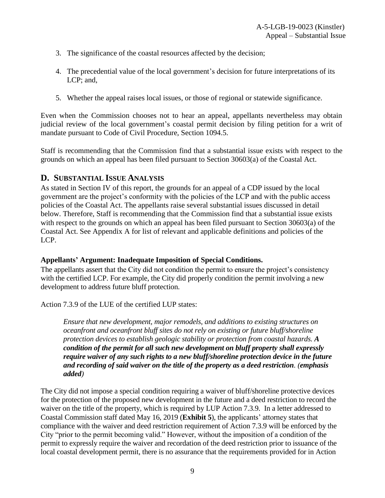- 3. The significance of the coastal resources affected by the decision;
- 4. The precedential value of the local government's decision for future interpretations of its LCP; and,
- 5. Whether the appeal raises local issues, or those of regional or statewide significance.

Even when the Commission chooses not to hear an appeal, appellants nevertheless may obtain judicial review of the local government's coastal permit decision by filing petition for a writ of mandate pursuant to Code of Civil Procedure, Section 1094.5.

Staff is recommending that the Commission find that a substantial issue exists with respect to the grounds on which an appeal has been filed pursuant to Section 30603(a) of the Coastal Act.

### <span id="page-8-0"></span>**D. SUBSTANTIAL ISSUE ANALYSIS**

As stated in Section IV of this report, the grounds for an appeal of a CDP issued by the local government are the project's conformity with the policies of the LCP and with the public access policies of the Coastal Act. The appellants raise several substantial issues discussed in detail below. Therefore, Staff is recommending that the Commission find that a substantial issue exists with respect to the grounds on which an appeal has been filed pursuant to Section 30603(a) of the Coastal Act. See Appendix A for list of relevant and applicable definitions and policies of the LCP.

#### **Appellants' Argument: Inadequate Imposition of Special Conditions.**

The appellants assert that the City did not condition the permit to ensure the project's consistency with the certified LCP. For example, the City did properly condition the permit involving a new development to address future bluff protection.

Action 7.3.9 of the LUE of the certified LUP states:

*Ensure that new development, major remodels, and additions to existing structures on oceanfront and oceanfront bluff sites do not rely on existing or future bluff/shoreline protection devices to establish geologic stability or protection from coastal hazards. A condition of the permit for all such new development on bluff property shall expressly require waiver of any such rights to a new bluff/shoreline protection device in the future and recording of said waiver on the title of the property as a deed restriction. (emphasis added)* 

The City did not impose a special condition requiring a waiver of bluff/shoreline protective devices for the protection of the proposed new development in the future and a deed restriction to record the waiver on the title of the property, which is required by LUP Action 7.3.9. In a letter addressed to Coastal Commission staff dated May 16, 2019 (**[Exhibit 5](https://documents.coastal.ca.gov/reports/2019/6/f10a/f10a-6-2019-exhibits.pdf)**), the applicants' attorney states that compliance with the waiver and deed restriction requirement of Action 7.3.9 will be enforced by the City "prior to the permit becoming valid." However, without the imposition of a condition of the permit to expressly require the waiver and recordation of the deed restriction prior to issuance of the local coastal development permit, there is no assurance that the requirements provided for in Action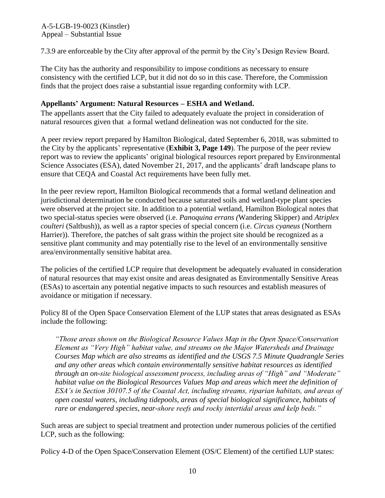7.3.9 are enforceable by the City after approval of the permit by the City's Design Review Board.

The City has the authority and responsibility to impose conditions as necessary to ensure consistency with the certified LCP, but it did not do so in this case. Therefore, the Commission finds that the project does raise a substantial issue regarding conformity with LCP.

#### **Appellants' Argument: Natural Resources – ESHA and Wetland.**

The appellants assert that the City failed to adequately evaluate the project in consideration of natural resources given that a formal wetland delineation was not conducted for the site.

A peer review report prepared by Hamilton Biological, dated September 6, 2018, was submitted to the City by the applicants' representative (**[Exhibit 3, Page 149](https://documents.coastal.ca.gov/reports/2019/6/f10a/f10a-6-2019-exhibits.pdf)**). The purpose of the peer review report was to review the applicants' original biological resources report prepared by Environmental Science Associates (ESA), dated November 21, 2017, and the applicants' draft landscape plans to ensure that CEQA and Coastal Act requirements have been fully met.

In the peer review report, Hamilton Biological recommends that a formal wetland delineation and jurisdictional determination be conducted because saturated soils and wetland-type plant species were observed at the project site. In addition to a potential wetland, Hamilton Biological notes that two special-status species were observed (i.e. *Panoquina errans (*Wandering Skipper) and *Atriplex coulteri* (Saltbush)), as well as a raptor species of special concern (i.e. *Circus cyaneus* (Northern Harrier)). Therefore, the patches of salt grass within the project site should be recognized as a sensitive plant community and may potentially rise to the level of an environmentally sensitive area/environmentally sensitive habitat area.

The policies of the certified LCP require that development be adequately evaluated in consideration of natural resources that may exist onsite and areas designated as Environmentally Sensitive Areas (ESAs) to ascertain any potential negative impacts to such resources and establish measures of avoidance or mitigation if necessary.

Policy 8I of the Open Space Conservation Element of the LUP states that areas designated as ESAs include the following:

*"Those areas shown on the Biological Resource Values Map in the Open Space/Conservation Element as "Very High" habitat value, and streams on the Major Watersheds and Drainage Courses Map which are also streams as identified and the USGS 7.5 Minute Quadrangle Series and any other areas which contain environmentally sensitive habitat resources as identified through an on-site biological assessment process, including areas of "High" and "Moderate" habitat value on the Biological Resources Values Map and areas which meet the definition of ESA's in Section 30107.5 of the Coastal Act, including streams, riparian habitats, and areas of open coastal waters, including tidepools, areas of special biological significance, habitats of rare or endangered species, near-shore reefs and rocky intertidal areas and kelp beds."* 

Such areas are subject to special treatment and protection under numerous policies of the certified LCP, such as the following:

Policy 4-D of the Open Space/Conservation Element (OS/C Element) of the certified LUP states: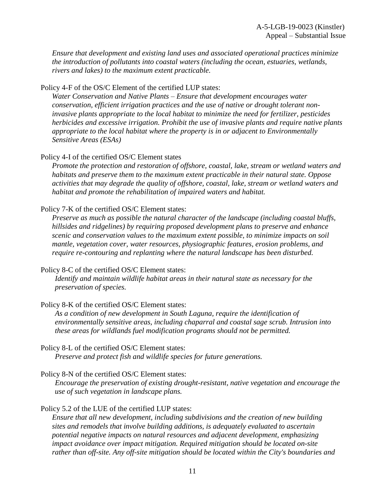*Ensure that development and existing land uses and associated operational practices minimize the introduction of pollutants into coastal waters (including the ocean, estuaries, wetlands, rivers and lakes) to the maximum extent practicable.* 

Policy 4-F of the OS/C Element of the certified LUP states:

*Water Conservation and Native Plants – Ensure that development encourages water conservation, efficient irrigation practices and the use of native or drought tolerant noninvasive plants appropriate to the local habitat to minimize the need for fertilizer, pesticides herbicides and excessive irrigation. Prohibit the use of invasive plants and require native plants appropriate to the local habitat where the property is in or adjacent to Environmentally Sensitive Areas (ESAs)* 

Policy 4-I of the certified OS/C Element states

*Promote the protection and restoration of offshore, coastal, lake, stream or wetland waters and habitats and preserve them to the maximum extent practicable in their natural state. Oppose activities that may degrade the quality of offshore, coastal, lake, stream or wetland waters and habitat and promote the rehabilitation of impaired waters and habitat.* 

Policy 7-K of the certified OS/C Element states:

*Preserve as much as possible the natural character of the landscape (including coastal bluffs, hillsides and ridgelines) by requiring proposed development plans to preserve and enhance scenic and conservation values to the maximum extent possible, to minimize impacts on soil mantle, vegetation cover, water resources, physiographic features, erosion problems, and require re-contouring and replanting where the natural landscape has been disturbed.* 

Policy 8-C of the certified OS/C Element states:

*Identify and maintain wildlife habitat areas in their natural state as necessary for the preservation of species.* 

Policy 8-K of the certified OS/C Element states:

As a condition of new development in South Laguna, require the identification of *environmentally sensitive areas, including chaparral and coastal sage scrub. Intrusion into these areas for wildlands fuel modification programs should not be permitted.* 

Policy 8-L of the certified OS/C Element states:

*Preserve and protect fish and wildlife species for future generations.* 

Policy 8-N of the certified OS/C Element states:

*Encourage the preservation of existing drought-resistant, native vegetation and encourage the use of such vegetation in landscape plans.*

#### Policy 5.2 of the LUE of the certified LUP states:

*Ensure that all new development, including subdivisions and the creation of new building sites and remodels that involve building additions, is adequately evaluated to ascertain potential negative impacts on natural resources and adjacent development, emphasizing impact avoidance over impact mitigation. Required mitigation should be located on-site rather than off-site. Any off-site mitigation should be located within the City's boundaries and*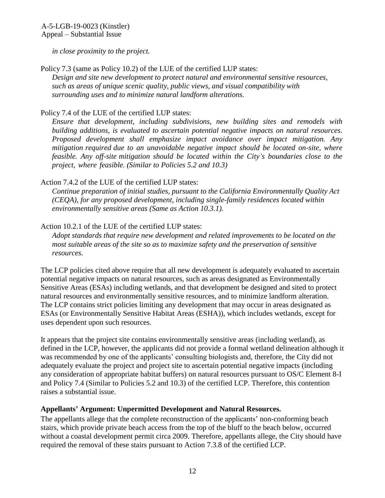*in close proximity to the project.*

Policy 7.3 (same as Policy 10.2) of the LUE of the certified LUP states: *Design and site new development to protect natural and environmental sensitive resources, such as areas of unique scenic quality, public views, and visual compatibility with surrounding uses and to minimize natural landform alterations.*

#### Policy 7.4 of the LUE of the certified LUP states:

*Ensure that development, including subdivisions, new building sites and remodels with building additions, is evaluated to ascertain potential negative impacts on natural resources. Proposed development shall emphasize impact avoidance over impact mitigation. Any mitigation required due to an unavoidable negative impact should be located on-site, where feasible. Any off-site mitigation should be located within the City's boundaries close to the project, where feasible. (Similar to Policies 5.2 and 10.3)* 

#### Action 7.4.2 of the LUE of the certified LUP states:

*Continue preparation of initial studies, pursuant to the California Environmentally Quality Act (CEQA), for any proposed development, including single-family residences located within environmentally sensitive areas (Same as Action 10.3.1).* 

#### Action 10.2.1 of the LUE of the certified LUP states:

*Adopt standards that require new development and related improvements to be located on the most suitable areas of the site so as to maximize safety and the preservation of sensitive resources.* 

The LCP policies cited above require that all new development is adequately evaluated to ascertain potential negative impacts on natural resources, such as areas designated as Environmentally Sensitive Areas (ESAs) including wetlands, and that development be designed and sited to protect natural resources and environmentally sensitive resources, and to minimize landform alteration. The LCP contains strict policies limiting any development that may occur in areas designated as ESAs (or Environmentally Sensitive Habitat Areas (ESHA)), which includes wetlands, except for uses dependent upon such resources.

It appears that the project site contains environmentally sensitive areas (including wetland), as defined in the LCP, however, the applicants did not provide a formal wetland delineation although it was recommended by one of the applicants' consulting biologists and, therefore, the City did not adequately evaluate the project and project site to ascertain potential negative impacts (including any consideration of appropriate habitat buffers) on natural resources pursuant to OS/C Element 8-I and Policy 7.4 (Similar to Policies 5.2 and 10.3) of the certified LCP. Therefore, this contention raises a substantial issue.

#### **Appellants' Argument: Unpermitted Development and Natural Resources.**

The appellants allege that the complete reconstruction of the applicants' non-conforming beach stairs, which provide private beach access from the top of the bluff to the beach below, occurred without a coastal development permit circa 2009. Therefore, appellants allege, the City should have required the removal of these stairs pursuant to Action 7.3.8 of the certified LCP.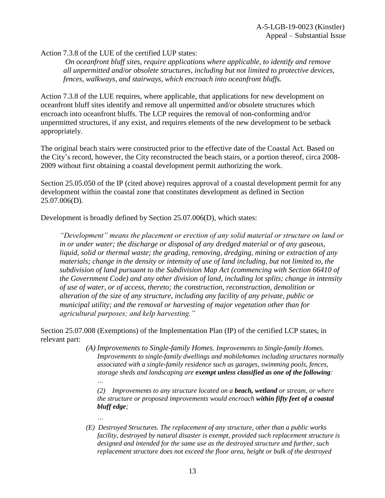Action 7.3.8 of the LUE of the certified LUP states:

*On oceanfront bluff sites, require applications where applicable, to identify and remove all unpermitted and/or obsolete structures, including but not limited to protective devices, fences, walkways, and stairways, which encroach into oceanfront bluffs.* 

Action 7.3.8 of the LUE requires, where applicable, that applications for new development on oceanfront bluff sites identify and remove all unpermitted and/or obsolete structures which encroach into oceanfront bluffs. The LCP requires the removal of non-conforming and/or unpermitted structures, if any exist, and requires elements of the new development to be setback appropriately.

The original beach stairs were constructed prior to the effective date of the Coastal Act. Based on the City's record, however, the City reconstructed the beach stairs, or a portion thereof, circa 2008- 2009 without first obtaining a coastal development permit authorizing the work.

Section 25.05.050 of the IP (cited above) requires approval of a coastal development permit for any development within the coastal zone that constitutes development as defined in Section 25.07.006(D).

Development is broadly defined by Section 25.07.006(D), which states:

*…*

*"Development" means the placement or erection of any solid material or structure on land or in or under water; the discharge or disposal of any dredged material or of any gaseous, liquid, solid or thermal waste; the grading, removing, dredging, mining or extraction of any materials; change in the density or intensity of use of land including, but not limited to, the subdivision of land pursuant to the Subdivision Map Act (commencing with Section 66410 of the Government Code) and any other division of land, including lot splits; change in intensity of use of water, or of access, thereto; the construction, reconstruction, demolition or alteration of the size of any structure, including any facility of any private, public or municipal utility; and the removal or harvesting of major vegetation other than for agricultural purposes; and kelp harvesting."*

Section 25.07.008 (Exemptions) of the Implementation Plan (IP) of the certified LCP states, in relevant part:

> *(A) Improvements to Single-family Homes. Improvements to Single-family Homes. Improvements to single-family dwellings and mobilehomes including structures normally associated with a single-family residence such as garages, swimming pools, fences, storage sheds and landscaping are exempt unless classified as one of the following: …*

*(2) Improvements to any structure located on a beach, wetland or stream, or where the structure or proposed improvements would encroach within fifty feet of a coastal bluff edge;*

*(E) Destroyed Structures. The replacement of any structure, other than a public works facility, destroyed by natural disaster is exempt, provided such replacement structure is designed and intended for the same use as the destroyed structure and further, such replacement structure does not exceed the floor area, height or bulk of the destroyed*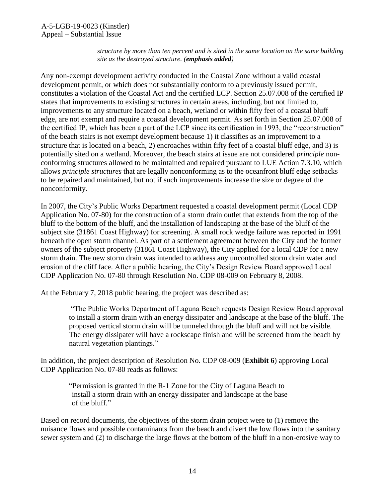*structure by more than ten percent and is sited in the same location on the same building site as the destroyed structure. (emphasis added)*

Any non-exempt development activity conducted in the Coastal Zone without a valid coastal development permit, or which does not substantially conform to a previously issued permit, constitutes a violation of the Coastal Act and the certified LCP. Section 25.07.008 of the certified IP states that improvements to existing structures in certain areas, including, but not limited to, improvements to any structure located on a beach, wetland or within fifty feet of a coastal bluff edge, are not exempt and require a coastal development permit. As set forth in Section 25.07.008 of the certified IP, which has been a part of the LCP since its certification in 1993, the "reconstruction" of the beach stairs is not exempt development because 1) it classifies as an improvement to a structure that is located on a beach, 2) encroaches within fifty feet of a coastal bluff edge, and 3) is potentially sited on a wetland. Moreover, the beach stairs at issue are not considered *principle* nonconforming structures allowed to be maintained and repaired pursuant to LUE Action 7.3.10, which allows *principle structures* that are legally nonconforming as to the oceanfront bluff edge setbacks to be repaired and maintained, but not if such improvements increase the size or degree of the nonconformity.

In 2007, the City's Public Works Department requested a coastal development permit (Local CDP Application No. 07-80) for the construction of a storm drain outlet that extends from the top of the bluff to the bottom of the bluff, and the installation of landscaping at the base of the bluff of the subject site (31861 Coast Highway) for screening. A small rock wedge failure was reported in 1991 beneath the open storm channel. As part of a settlement agreement between the City and the former owners of the subject property (31861 Coast Highway), the City applied for a local CDP for a new storm drain. The new storm drain was intended to address any uncontrolled storm drain water and erosion of the cliff face. After a public hearing, the City's Design Review Board approved Local CDP Application No. 07-80 through Resolution No. CDP 08-009 on February 8, 2008.

At the February 7, 2018 public hearing, the project was described as:

"The Public Works Department of Laguna Beach requests Design Review Board approval to install a storm drain with an energy dissipater and landscape at the base of the bluff. The proposed vertical storm drain will be tunneled through the bluff and will not be visible. The energy dissipater will have a rockscape finish and will be screened from the beach by natural vegetation plantings."

In addition, the project description of Resolution No. CDP 08-009 (**[Exhibit 6](https://documents.coastal.ca.gov/reports/2019/6/f10a/f10a-6-2019-exhibits.pdf)**) approving Local CDP Application No. 07-80 reads as follows:

"Permission is granted in the R-1 Zone for the City of Laguna Beach to install a storm drain with an energy dissipater and landscape at the base of the bluff."

Based on record documents, the objectives of the storm drain project were to (1) remove the nuisance flows and possible contaminants from the beach and divert the low flows into the sanitary sewer system and (2) to discharge the large flows at the bottom of the bluff in a non-erosive way to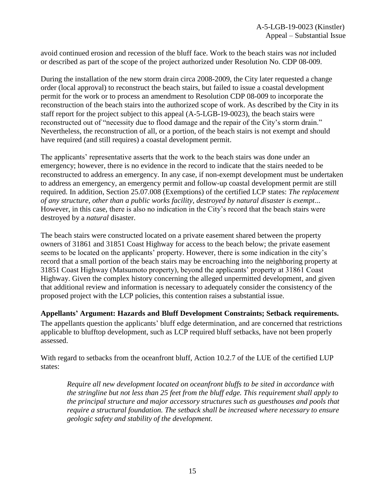avoid continued erosion and recession of the bluff face. Work to the beach stairs was *not* included or described as part of the scope of the project authorized under Resolution No. CDP 08-009.

During the installation of the new storm drain circa 2008-2009, the City later requested a change order (local approval) to reconstruct the beach stairs, but failed to issue a coastal development permit for the work or to process an amendment to Resolution CDP 08-009 to incorporate the reconstruction of the beach stairs into the authorized scope of work. As described by the City in its staff report for the project subject to this appeal (A-5-LGB-19-0023), the beach stairs were reconstructed out of "necessity due to flood damage and the repair of the City's storm drain." Nevertheless, the reconstruction of all, or a portion, of the beach stairs is not exempt and should have required (and still requires) a coastal development permit.

The applicants' representative asserts that the work to the beach stairs was done under an emergency; however, there is no evidence in the record to indicate that the stairs needed to be reconstructed to address an emergency. In any case, if non-exempt development must be undertaken to address an emergency, an emergency permit and follow-up coastal development permit are still required. In addition, Section 25.07.008 (Exemptions) of the certified LCP states: *The replacement of any structure, other than a public works facility, destroyed by natural disaster is exempt*... However, in this case, there is also no indication in the City's record that the beach stairs were destroyed by a *natural* disaster.

The beach stairs were constructed located on a private easement shared between the property owners of 31861 and 31851 Coast Highway for access to the beach below; the private easement seems to be located on the applicants' property. However, there is some indication in the city's record that a small portion of the beach stairs may be encroaching into the neighboring property at 31851 Coast Highway (Matsumoto property), beyond the applicants' property at 31861 Coast Highway. Given the complex history concerning the alleged unpermitted development, and given that additional review and information is necessary to adequately consider the consistency of the proposed project with the LCP policies, this contention raises a substantial issue.

**Appellants' Argument: Hazards and Bluff Development Constraints; Setback requirements.** 

The appellants question the applicants' bluff edge determination, and are concerned that restrictions applicable to blufftop development, such as LCP required bluff setbacks, have not been properly assessed.

With regard to setbacks from the oceanfront bluff, Action 10.2.7 of the LUE of the certified LUP states:

*Require all new development located on oceanfront bluffs to be sited in accordance with the stringline but not less than 25 feet from the bluff edge. This requirement shall apply to the principal structure and major accessory structures such as guesthouses and pools that require a structural foundation. The setback shall be increased where necessary to ensure geologic safety and stability of the development.*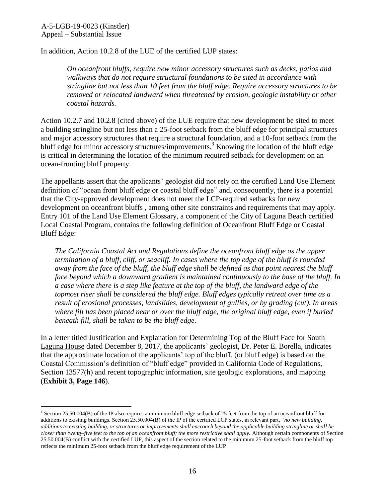$\overline{a}$ 

In addition, Action 10.2.8 of the LUE of the certified LUP states:

*On oceanfront bluffs, require new minor accessory structures such as decks, patios and walkways that do not require structural foundations to be sited in accordance with stringline but not less than 10 feet from the bluff edge. Require accessory structures to be removed or relocated landward when threatened by erosion, geologic instability or other coastal hazards.* 

Action 10.2.7 and 10.2.8 (cited above) of the LUE require that new development be sited to meet a building stringline but not less than a 25-foot setback from the bluff edge for principal structures and major accessory structures that require a structural foundation, and a 10-foot setback from the bluff edge for minor accessory structures/improvements.<sup>3</sup> Knowing the location of the bluff edge is critical in determining the location of the minimum required setback for development on an ocean-fronting bluff property.

The appellants assert that the applicants' geologist did not rely on the certified Land Use Element definition of "ocean front bluff edge or coastal bluff edge" and, consequently, there is a potential that the City-approved development does not meet the LCP-required setbacks for new development on oceanfront bluffs , among other site constraints and requirements that may apply. Entry 101 of the Land Use Element Glossary, a component of the City of Laguna Beach certified Local Coastal Program, contains the following definition of Oceanfront Bluff Edge or Coastal Bluff Edge:

*The California Coastal Act and Regulations define the oceanfront bluff edge as the upper termination of a bluff, cliff, or seacliff. In cases where the top edge of the bluff is rounded away from the face of the bluff, the bluff edge shall be defined as that point nearest the bluff face beyond which a downward gradient is maintained continuously to the base of the bluff. In a case where there is a step like feature at the top of the bluff, the landward edge of the topmost riser shall be considered the bluff edge. Bluff edges typically retreat over time as a result of erosional processes, landslides, development of gullies, or by grading (cut). In areas where fill has been placed near or over the bluff edge, the original bluff edge, even if buried beneath fill, shall be taken to be the bluff edge.*

In a letter titled Justification and Explanation for Determining Top of the Bluff Face for South Laguna House dated December 8, 2017, the applicants' geologist, Dr. Peter E. Borella, indicates that the approximate location of the applicants' top of the bluff, (or bluff edge) is based on the Coastal Commission's definition of "bluff edge" provided in California Code of Regulations, Section 13577(h) and recent topographic information, site geologic explorations, and mapping (**[Exhibit 3, Page 146](https://documents.coastal.ca.gov/reports/2019/6/f10a/f10a-6-2019-exhibits.pdf)**).

<sup>&</sup>lt;sup>3</sup> Section 25.50.004(B) of the IP also requires a minimum bluff edge setback of 25 feet from the top of an oceanfront bluff for additions to existing buildings. Section 25.50.004(B) of the IP of the certified LCP states, in relevant part, "*no new building, additions to existing building, or structures or improvements shall encroach beyond the applicable building stringline or shall be closer than twenty-five feet to the top of an oceanfront bluff; the more restrictive shall apply.* Although certain components of Section 25.50.004(B) conflict with the certified LUP, this aspect of the section related to the minimum 25-foot setback from the bluff top reflects the minimum 25-foot setback from the bluff edge requirement of the LUP.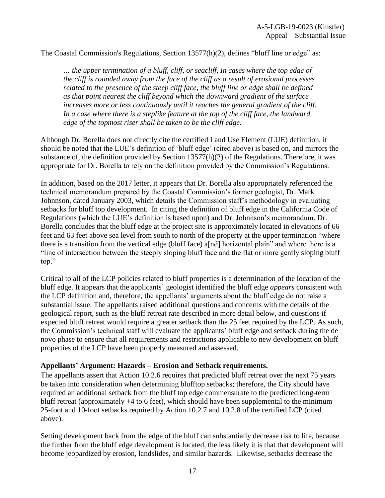#### The Coastal Commission's Regulations, Section 13577(h)(2), defines "bluff line or edge" as:

*… the upper termination of a bluff, cliff, or seacliff, In cases where the top edge of the cliff is rounded away from the face of the cliff as a result of erosional processes related to the presence of the steep cliff face, the bluff line or edge shall be defined as that point nearest the cliff beyond which the downward gradient of the surface increases more or less continuously until it reaches the general gradient of the cliff. In a case where there is a steplike feature at the top of the cliff face, the landward edge of the topmost riser shall be taken to be the cliff edge.* 

Although Dr. Borella does not directly cite the certified Land Use Element (LUE) definition, it should be noted that the LUE's definition of 'bluff edge' (cited above) is based on, and mirrors the substance of, the definition provided by Section 13577(h)(2) of the Regulations. Therefore, it was appropriate for Dr. Borella to rely on the definition provided by the Commission's Regulations.

In addition, based on the 2017 letter, it appears that Dr. Borella also appropriately referenced the technical memorandum prepared by the Coastal Commission's former geologist, Dr. Mark Johnnson, dated January 2003, which details the Commission staff's methodology in evaluating setbacks for bluff top development. In citing the definition of bluff edge in the California Code of Regulations (which the LUE's definition is based upon) and Dr. Johnnson's memorandum, Dr. Borella concludes that the bluff edge at the project site is approximately located in elevations of 66 feet and 63 feet above sea level from south to north of the property at the upper termination "where there is a transition from the vertical edge (bluff face) a[nd] horizontal plain" and where there is a "line of intersection between the steeply sloping bluff face and the flat or more gently sloping bluff top."

Critical to all of the LCP policies related to bluff properties is a determination of the location of the bluff edge. It appears that the applicants' geologist identified the bluff edge *appears* consistent with the LCP definition and, therefore, the appellants' arguments about the bluff edge do not raise a substantial issue. The appellants raised additional questions and concerns with the details of the geological report, such as the bluff retreat rate described in more detail below, and questions if expected bluff retreat would require a greater setback than the 25 feet required by the LCP. As such, the Commission's technical staff will evaluate the applicants' bluff edge and setback during the de novo phase to ensure that all requirements and restrictions applicable to new development on bluff properties of the LCP have been properly measured and assessed.

#### **Appellants' Argument: Hazards – Erosion and Setback requirements.**

The appellants assert that Action 10.2.6 requires that predicted bluff retreat over the next 75 years be taken into consideration when determining blufftop setbacks; therefore, the City should have required an additional setback from the bluff top edge commensurate to the predicted long-term bluff retreat (approximately +4 to 6 feet), which should have been supplemental to the minimum 25-foot and 10-foot setbacks required by Action 10.2.7 and 10.2.8 of the certified LCP (cited above).

Setting development back from the edge of the bluff can substantially decrease risk to life, because the further from the bluff edge development is located, the less likely it is that that development will become jeopardized by erosion, landslides, and similar hazards. Likewise, setbacks decrease the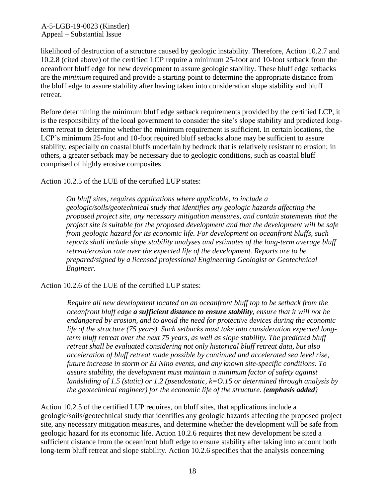A-5-LGB-19-0023 (Kinstler) Appeal – Substantial Issue

likelihood of destruction of a structure caused by geologic instability. Therefore, Action 10.2.7 and 10.2.8 (cited above) of the certified LCP require a minimum 25-foot and 10-foot setback from the oceanfront bluff edge for new development to assure geologic stability. These bluff edge setbacks are the *minimum* required and provide a starting point to determine the appropriate distance from the bluff edge to assure stability after having taken into consideration slope stability and bluff retreat.

Before determining the minimum bluff edge setback requirements provided by the certified LCP, it is the responsibility of the local government to consider the site's slope stability and predicted longterm retreat to determine whether the minimum requirement is sufficient. In certain locations, the LCP's minimum 25-foot and 10-foot required bluff setbacks alone may be sufficient to assure stability, especially on coastal bluffs underlain by bedrock that is relatively resistant to erosion; in others, a greater setback may be necessary due to geologic conditions, such as coastal bluff comprised of highly erosive composites.

Action 10.2.5 of the LUE of the certified LUP states:

*On bluff sites, requires applications where applicable, to include a geologic/soils/geotechnical study that identifies any geologic hazards affecting the proposed project site, any necessary mitigation measures, and contain statements that the project site is suitable for the proposed development and that the development will be safe from geologic hazard for its economic life. For development on oceanfront bluffs, such reports shall include slope stability analyses and estimates of the long-term average bluff retreat/erosion rate over the expected life of the development. Reports are to be prepared/signed by a licensed professional Engineering Geologist or Geotechnical Engineer.*

Action 10.2.6 of the LUE of the certified LUP states:

*Require all new development located on an oceanfront bluff top to be setback from the oceanfront bluff edge a sufficient distance to ensure stability, ensure that it will not be endangered by erosion, and to avoid the need for protective devices during the economic life of the structure (75 years). Such setbacks must take into consideration expected longterm bluff retreat over the next 75 years, as well as slope stability. The predicted bluff retreat shall be evaluated considering not only historical bluff retreat data, but also acceleration of bluff retreat made possible by continued and accelerated sea level rise, future increase in storm or EI Nino events, and any known site-specific conditions. To assure stability, the development must maintain a minimum factor of safety against landsliding of 1.5 (static) or 1.2 (pseudostatic, k=O.15 or determined through analysis by the geotechnical engineer) for the economic life of the structure. (emphasis added)* 

Action 10.2.5 of the certified LUP requires, on bluff sites, that applications include a geologic/soils/geotechnical study that identifies any geologic hazards affecting the proposed project site, any necessary mitigation measures, and determine whether the development will be safe from geologic hazard for its economic life. Action 10.2.6 requires that new development be sited a sufficient distance from the oceanfront bluff edge to ensure stability after taking into account both long-term bluff retreat and slope stability. Action 10.2.6 specifies that the analysis concerning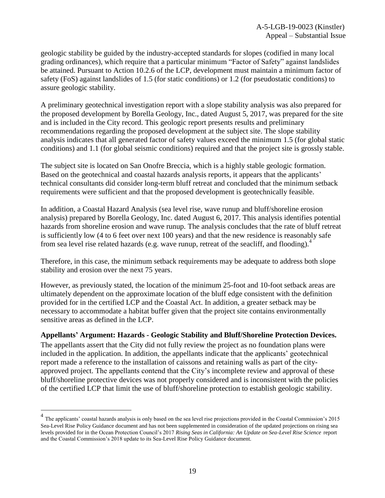geologic stability be guided by the industry-accepted standards for slopes (codified in many local grading ordinances), which require that a particular minimum "Factor of Safety" against landslides be attained. Pursuant to Action 10.2.6 of the LCP, development must maintain a minimum factor of safety (FoS) against landslides of 1.5 (for static conditions) or 1.2 (for pseudostatic conditions) to assure geologic stability.

A preliminary geotechnical investigation report with a slope stability analysis was also prepared for the proposed development by Borella Geology, Inc., dated August 5, 2017, was prepared for the site and is included in the City record. This geologic report presents results and preliminary recommendations regarding the proposed development at the subject site. The slope stability analysis indicates that all generated factor of safety values exceed the minimum 1.5 (for global static conditions) and 1.1 (for global seismic conditions) required and that the project site is grossly stable.

The subject site is located on San Onofre Breccia, which is a highly stable geologic formation. Based on the geotechnical and coastal hazards analysis reports, it appears that the applicants' technical consultants did consider long-term bluff retreat and concluded that the minimum setback requirements were sufficient and that the proposed development is geotechnically feasible.

In addition, a Coastal Hazard Analysis (sea level rise, wave runup and bluff/shoreline erosion analysis) prepared by Borella Geology, Inc. dated August 6, 2017. This analysis identifies potential hazards from shoreline erosion and wave runup. The analysis concludes that the rate of bluff retreat is sufficiently low (4 to 6 feet over next 100 years) and that the new residence is reasonably safe from sea level rise related hazards (e.g. wave runup, retreat of the seacliff, and flooding).<sup>4</sup>

Therefore, in this case, the minimum setback requirements may be adequate to address both slope stability and erosion over the next 75 years.

However, as previously stated, the location of the minimum 25-foot and 10-foot setback areas are ultimately dependent on the approximate location of the bluff edge consistent with the definition provided for in the certified LCP and the Coastal Act. In addition, a greater setback may be necessary to accommodate a habitat buffer given that the project site contains environmentally sensitive areas as defined in the LCP.

#### **Appellants' Argument: Hazards - Geologic Stability and Bluff/Shoreline Protection Devices.**

The appellants assert that the City did not fully review the project as no foundation plans were included in the application. In addition, the appellants indicate that the applicants' geotechnical report made a reference to the installation of caissons and retaining walls as part of the cityapproved project. The appellants contend that the City's incomplete review and approval of these bluff/shoreline protective devices was not properly considered and is inconsistent with the policies of the certified LCP that limit the use of bluff/shoreline protection to establish geologic stability.

 $\overline{a}$ 

<sup>&</sup>lt;sup>4</sup> The applicants' coastal hazards analysis is only based on the sea level rise projections provided in the Coastal Commission's 2015 Sea-Level Rise Policy Guidance document and has not been supplemented in consideration of the updated projections on rising sea levels provided for in the Ocean Protection Council's 2017 *Rising Seas in California: An Update on Sea-Level Rise Science* report and the Coastal Commission's 2018 update to its Sea-Level Rise Policy Guidance document.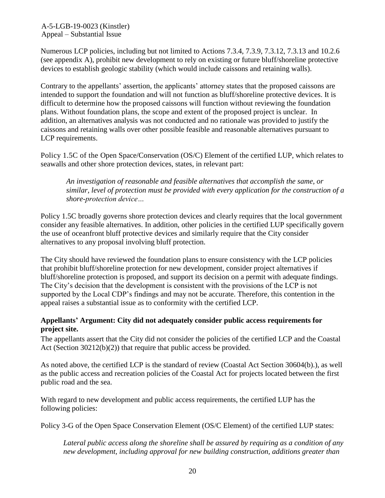A-5-LGB-19-0023 (Kinstler) Appeal – Substantial Issue

Numerous LCP policies, including but not limited to Actions 7.3.4, 7.3.9, 7.3.12, 7.3.13 and 10.2.6 (see appendix A), prohibit new development to rely on existing or future bluff/shoreline protective devices to establish geologic stability (which would include caissons and retaining walls).

Contrary to the appellants' assertion, the applicants' attorney states that the proposed caissons are intended to support the foundation and will not function as bluff/shoreline protective devices. It is difficult to determine how the proposed caissons will function without reviewing the foundation plans. Without foundation plans, the scope and extent of the proposed project is unclear. In addition, an alternatives analysis was not conducted and no rationale was provided to justify the caissons and retaining walls over other possible feasible and reasonable alternatives pursuant to LCP requirements.

Policy 1.5C of the Open Space/Conservation (OS/C) Element of the certified LUP, which relates to seawalls and other shore protection devices, states, in relevant part:

*An investigation of reasonable and feasible alternatives that accomplish the same, or similar, level of protection must be provided with every application for the construction of a shore-protection device…*

Policy 1.5C broadly governs shore protection devices and clearly requires that the local government consider any feasible alternatives. In addition, other policies in the certified LUP specifically govern the use of oceanfront bluff protective devices and similarly require that the City consider alternatives to any proposal involving bluff protection.

The City should have reviewed the foundation plans to ensure consistency with the LCP policies that prohibit bluff/shoreline protection for new development, consider project alternatives if bluff/shoreline protection is proposed, and support its decision on a permit with adequate findings. The City's decision that the development is consistent with the provisions of the LCP is not supported by the Local CDP's findings and may not be accurate. Therefore, this contention in the appeal raises a substantial issue as to conformity with the certified LCP.

#### **Appellants' Argument: City did not adequately consider public access requirements for project site.**

The appellants assert that the City did not consider the policies of the certified LCP and the Coastal Act (Section 30212(b)(2)) that require that public access be provided.

As noted above, the certified LCP is the standard of review (Coastal Act Section 30604(b).), as well as the public access and recreation policies of the Coastal Act for projects located between the first public road and the sea.

With regard to new development and public access requirements, the certified LUP has the following policies:

Policy 3-G of the Open Space Conservation Element (OS/C Element) of the certified LUP states:

*Lateral public access along the shoreline shall be assured by requiring as a condition of any new development, including approval for new building construction, additions greater than*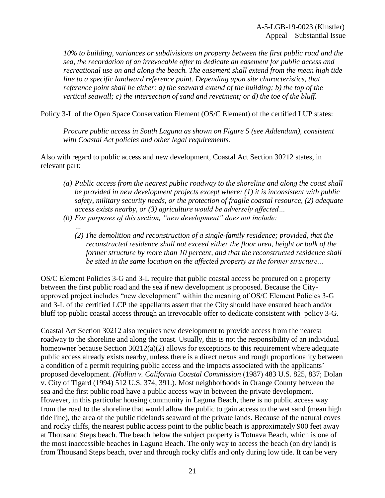*10% to building, variances or subdivisions on property between the first public road and the sea, the recordation of an irrevocable offer to dedicate an easement for public access and recreational use on and along the beach. The easement shall extend from the mean high tide line to a specific landward reference point. Depending upon site characteristics, that reference point shall be either: a) the seaward extend of the building; b) the top of the vertical seawall; c) the intersection of sand and revetment; or d) the toe of the bluff.* 

Policy 3-L of the Open Space Conservation Element (OS/C Element) of the certified LUP states:

*Procure public access in South Laguna as shown on Figure 5 (see Addendum), consistent with Coastal Act policies and other legal requirements.* 

Also with regard to public access and new development, Coastal Act Section 30212 states, in relevant part:

- *(a) Public access from the nearest public roadway to the shoreline and along the coast shall be provided in new development projects except where: (1) it is inconsistent with public safety, military security needs, or the protection of fragile coastal resource, (2) adequate access exists nearby, or (3) agriculture would be adversely affected…*
- *(b) For purposes of this section, "new development" does not include:*

*…*

*(2) The demolition and reconstruction of a single-family residence; provided, that the reconstructed residence shall not exceed either the floor area, height or bulk of the former structure by more than 10 percent, and that the reconstructed residence shall be sited in the same location on the affected property as the former structure…*

OS/C Element Policies 3-G and 3-L require that public coastal access be procured on a property between the first public road and the sea if new development is proposed. Because the Cityapproved project includes "new development" within the meaning of OS/C Element Policies 3-G and 3-L of the certified LCP the appellants assert that the City should have ensured beach and/or bluff top public coastal access through an irrevocable offer to dedicate consistent with policy 3-G.

Coastal Act Section 30212 also requires new development to provide access from the nearest roadway to the shoreline and along the coast. Usually, this is not the responsibility of an individual homeowner because Section 30212(a)(2) allows for exceptions to this requirement where adequate public access already exists nearby, unless there is a direct nexus and rough proportionality between a condition of a permit requiring public access and the impacts associated with the applicants' proposed development. *(Nollan v. California Coastal Commission* (1987) 483 U.S. 825, 837; Dolan v. City of Tigard (1994) 512 U.S. 374, 391.). Most neighborhoods in Orange County between the sea and the first public road have a public access way in between the private development. However, in this particular housing community in Laguna Beach, there is no public access way from the road to the shoreline that would allow the public to gain access to the wet sand (mean high tide line), the area of the public tidelands seaward of the private lands. Because of the natural coves and rocky cliffs, the nearest public access point to the public beach is approximately 900 feet away at Thousand Steps beach. The beach below the subject property is Totuava Beach, which is one of the most inaccessible beaches in Laguna Beach. The only way to access the beach (on dry land) is from Thousand Steps beach, over and through rocky cliffs and only during low tide. It can be very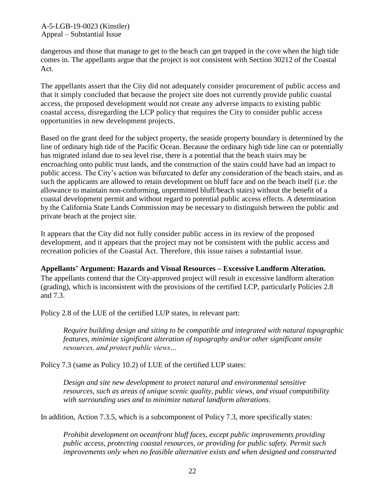A-5-LGB-19-0023 (Kinstler) Appeal – Substantial Issue

dangerous and those that manage to get to the beach can get trapped in the cove when the high tide comes in. The appellants argue that the project is not consistent with Section 30212 of the Coastal Act.

The appellants assert that the City did not adequately consider procurement of public access and that it simply concluded that because the project site does not currently provide public coastal access, the proposed development would not create any adverse impacts to existing public coastal access, disregarding the LCP policy that requires the City to consider public access opportunities in new development projects.

Based on the grant deed for the subject property, the seaside property boundary is determined by the line of ordinary high tide of the Pacific Ocean. Because the ordinary high tide line can or potentially has migrated inland due to sea level rise, there is a potential that the beach stairs may be encroaching onto public trust lands, and the construction of the stairs could have had an impact to public access. The City's action was bifurcated to defer any consideration of the beach stairs, and as such the applicants are allowed to retain development on bluff face and on the beach itself (i.e. the allowance to maintain non-conforming, unpermitted bluff/beach stairs) without the benefit of a coastal development permit and without regard to potential public access effects. A determination by the California State Lands Commission may be necessary to distinguish between the public and private beach at the project site.

It appears that the City did not fully consider public access in its review of the proposed development, and it appears that the project may not be consistent with the public access and recreation policies of the Coastal Act. Therefore, this issue raises a substantial issue.

**Appellants' Argument: Hazards and Visual Resources – Excessive Landform Alteration.**  The appellants contend that the City-approved project will result in excessive landform alteration (grading), which is inconsistent with the provisions of the certified LCP, particularly Policies 2.8 and 7.3.

Policy 2.8 of the LUE of the certified LUP states, in relevant part:

*Require building design and siting to be compatible and integrated with natural topographic features, minimize significant alteration of topography and/or other significant onsite resources, and protect public views…*

Policy 7.3 (same as Policy 10.2) of LUE of the certified LUP states:

*Design and site new development to protect natural and environmental sensitive resources, such as areas of unique scenic quality, public views, and visual compatibility with surrounding uses and to minimize natural landform alterations.* 

In addition, Action 7.3.5, which is a subcomponent of Policy 7.3, more specifically states:

*Prohibit development on oceanfront bluff faces, except public improvements providing public access, protecting coastal resources, or providing for public safety. Permit such improvements only when no feasible alternative exists and when designed and constructed*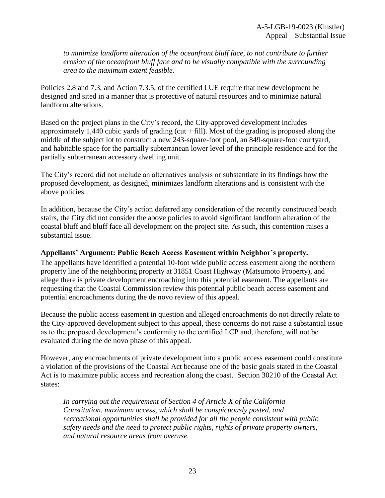*to minimize landform alteration of the oceanfront bluff face, to not contribute to further erosion of the oceanfront bluff face and to be visually compatible with the surrounding area to the maximum extent feasible.* 

Policies 2.8 and 7.3, and Action 7.3.5, of the certified LUE require that new development be designed and sited in a manner that is protective of natural resources and to minimize natural landform alterations.

Based on the project plans in the City's record, the City-approved development includes approximately 1,440 cubic yards of grading (cut  $+$  fill). Most of the grading is proposed along the middle of the subject lot to construct a new 243-square-foot pool, an 849-square-foot courtyard, and habitable space for the partially subterranean lower level of the principle residence and for the partially subterranean accessory dwelling unit.

The City's record did not include an alternatives analysis or substantiate in its findings how the proposed development, as designed, minimizes landform alterations and is consistent with the above policies.

In addition, because the City's action deferred any consideration of the recently constructed beach stairs, the City did not consider the above policies to avoid significant landform alteration of the coastal bluff and bluff face all development on the project site. As such, this contention raises a substantial issue.

#### **Appellants' Argument: Public Beach Access Easement within Neighbor's property.**

The appellants have identified a potential 10-foot wide public access easement along the northern property line of the neighboring property at 31851 Coast Highway (Matsumoto Property), and allege there is private development encroaching into this potential easement. The appellants are requesting that the Coastal Commission review this potential public beach access easement and potential encroachments during the de novo review of this appeal.

Because the public access easement in question and alleged encroachments do not directly relate to the City-approved development subject to this appeal, these concerns do not raise a substantial issue as to the proposed development's conformity to the certified LCP and, therefore, will not be evaluated during the de novo phase of this appeal.

However, any encroachments of private development into a public access easement could constitute a violation of the provisions of the Coastal Act because one of the basic goals stated in the Coastal Act is to maximize public access and recreation along the coast. Section 30210 of the Coastal Act states:

*In carrying out the requirement of Section 4 of Article X of the California Constitution, maximum access, which shall be conspicuously posted, and recreational opportunities shall be provided for all the people consistent with public safety needs and the need to protect public rights, rights of private property owners, and natural resource areas from overuse.*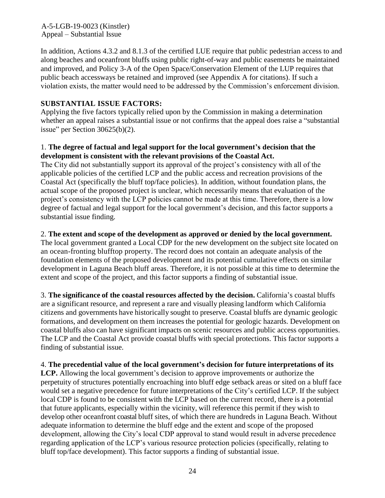A-5-LGB-19-0023 (Kinstler) Appeal – Substantial Issue

In addition, Actions 4.3.2 and 8.1.3 of the certified LUE require that public pedestrian access to and along beaches and oceanfront bluffs using public right-of-way and public easements be maintained and improved, and Policy 3-A of the Open Space/Conservation Element of the LUP requires that public beach accessways be retained and improved (see Appendix A for citations). If such a violation exists, the matter would need to be addressed by the Commission's enforcement division.

#### **SUBSTANTIAL ISSUE FACTORS:**

Applying the five factors typically relied upon by the Commission in making a determination whether an appeal raises a substantial issue or not confirms that the appeal does raise a "substantial issue" per Section  $30625(b)(2)$ .

#### 1. **The degree of factual and legal support for the local government's decision that the development is consistent with the relevant provisions of the Coastal Act.**

The City did not substantially support its approval of the project's consistency with all of the applicable policies of the certified LCP and the public access and recreation provisions of the Coastal Act (specifically the bluff top/face policies). In addition, without foundation plans, the actual scope of the proposed project is unclear, which necessarily means that evaluation of the project's consistency with the LCP policies cannot be made at this time. Therefore, there is a low degree of factual and legal support for the local government's decision, and this factor supports a substantial issue finding.

#### 2. **The extent and scope of the development as approved or denied by the local government.**

The local government granted a Local CDP for the new development on the subject site located on an ocean-fronting blufftop property. The record does not contain an adequate analysis of the foundation elements of the proposed development and its potential cumulative effects on similar development in Laguna Beach bluff areas. Therefore, it is not possible at this time to determine the extent and scope of the project, and this factor supports a finding of substantial issue.

3. **The significance of the coastal resources affected by the decision.** California's coastal bluffs are a significant resource, and represent a rare and visually pleasing landform which California citizens and governments have historically sought to preserve. Coastal bluffs are dynamic geologic formations, and development on them increases the potential for geologic hazards. Development on coastal bluffs also can have significant impacts on scenic resources and public access opportunities. The LCP and the Coastal Act provide coastal bluffs with special protections. This factor supports a finding of substantial issue.

4. **The precedential value of the local government's decision for future interpretations of its LCP.** Allowing the local government's decision to approve improvements or authorize the perpetuity of structures potentially encroaching into bluff edge setback areas or sited on a bluff face would set a negative precedence for future interpretations of the City's certified LCP. If the subject local CDP is found to be consistent with the LCP based on the current record, there is a potential that future applicants, especially within the vicinity, will reference this permit if they wish to develop other oceanfront coastal bluff sites, of which there are hundreds in Laguna Beach. Without adequate information to determine the bluff edge and the extent and scope of the proposed development, allowing the City's local CDP approval to stand would result in adverse precedence regarding application of the LCP's various resource protection policies (specifically, relating to bluff top/face development). This factor supports a finding of substantial issue.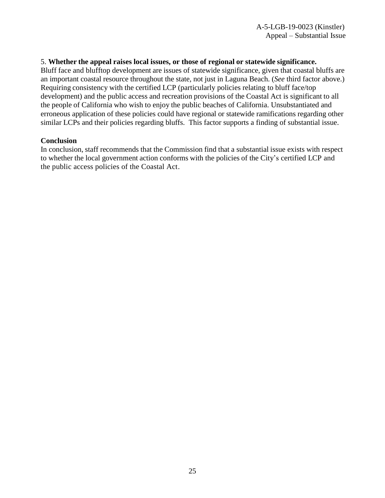#### 5. **Whether the appeal raises local issues, or those of regional or statewide significance.**

Bluff face and blufftop development are issues of statewide significance, given that coastal bluffs are an important coastal resource throughout the state, not just in Laguna Beach. (*See* third factor above.) Requiring consistency with the certified LCP (particularly policies relating to bluff face/top development) and the public access and recreation provisions of the Coastal Act is significant to all the people of California who wish to enjoy the public beaches of California. Unsubstantiated and erroneous application of these policies could have regional or statewide ramifications regarding other similar LCPs and their policies regarding bluffs. This factor supports a finding of substantial issue.

#### **Conclusion**

In conclusion, staff recommends that the Commission find that a substantial issue exists with respect to whether the local government action conforms with the policies of the City's certified LCP and the public access policies of the Coastal Act.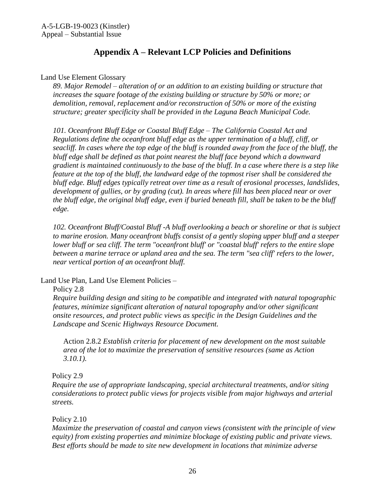## **Appendix A – Relevant LCP Policies and Definitions**

<span id="page-25-0"></span>Land Use Element Glossary

*89. Major Remodel – alteration of or an addition to an existing building or structure that increases the square footage of the existing building or structure by 50% or more; or demolition, removal, replacement and/or reconstruction of 50% or more of the existing structure; greater specificity shall be provided in the Laguna Beach Municipal Code.* 

*101. Oceanfront Bluff Edge or Coastal Bluff Edge – The California Coastal Act and Regulations define the oceanfront bluff edge as the upper termination of a bluff, cliff, or seacliff. In cases where the top edge of the bluff is rounded away from the face of the bluff, the bluff edge shall be defined as that point nearest the bluff face beyond which a downward gradient is maintained continuously to the base of the bluff. In a case where there is a step like feature at the top of the bluff, the landward edge of the topmost riser shall be considered the bluff edge. Bluff edges typically retreat over time as a result of erosional processes, landslides, development of gullies, or by grading (cut). In areas where fill has been placed near or over the bluff edge, the original bluff edge, even if buried beneath fill, shall be taken to be the bluff edge.* 

*102. Oceanfront Bluff/Coastal Bluff -A bluff overlooking a beach or shoreline or that is subject to marine erosion. Many oceanfront bluffs consist of a gently sloping upper bluff and a steeper lower bluff or sea cliff. The term "oceanfront bluff' or "coastal bluff' refers to the entire slope between a marine terrace or upland area and the sea. The term "sea cliff' refers to the lower, near vertical portion of an oceanfront bluff.* 

Land Use Plan, Land Use Element Policies –

Policy 2.8

*Require building design and siting to be compatible and integrated with natural topographic features, minimize significant alteration of natural topography and/or other significant onsite resources, and protect public views as specific in the Design Guidelines and the Landscape and Scenic Highways Resource Document.* 

Action 2.8.2 *Establish criteria for placement of new development on the most suitable area of the lot to maximize the preservation of sensitive resources (same as Action 3.10.1).* 

Policy 2.9

*Require the use of appropriate landscaping, special architectural treatments, and/or siting considerations to protect public views for projects visible from major highways and arterial streets.* 

Policy 2.10

*Maximize the preservation of coastal and canyon views (consistent with the principle of view equity) from existing properties and minimize blockage of existing public and private views. Best efforts should be made to site new development in locations that minimize adverse*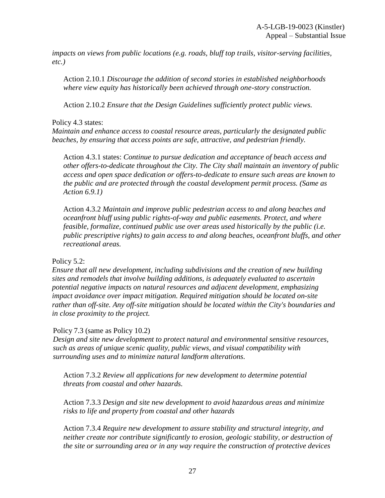*impacts on views from public locations (e.g. roads, bluff top trails, visitor-serving facilities, etc.)* 

Action 2.10.1 *Discourage the addition of second stories in established neighborhoods where view equity has historically been achieved through one-story construction.* 

Action 2.10.2 *Ensure that the Design Guidelines sufficiently protect public views.* 

#### Policy 4.3 states:

*Maintain and enhance access to coastal resource areas, particularly the designated public beaches, by ensuring that access points are safe, attractive, and pedestrian friendly.* 

Action 4.3.1 states: *Continue to pursue dedication and acceptance of beach access and other offers-to-dedicate throughout the City. The City shall maintain an inventory of public access and open space dedication or offers-to-dedicate to ensure such areas are known to the public and are protected through the coastal development permit process. (Same as Action 6.9.1)* 

Action 4.3.2 *Maintain and improve public pedestrian access to and along beaches and oceanfront bluff using public rights-of-way and public easements. Protect, and where feasible, formalize, continued public use over areas used historically by the public (i.e. public prescriptive rights) to gain access to and along beaches, oceanfront bluffs, and other recreational areas.* 

#### Policy 5.2:

*Ensure that all new development, including subdivisions and the creation of new building sites and remodels that involve building additions, is adequately evaluated to ascertain potential negative impacts on natural resources and adjacent development, emphasizing impact avoidance over impact mitigation. Required mitigation should be located on-site rather than off-site. Any off-site mitigation should be located within the City's boundaries and in close proximity to the project.*

#### Policy 7.3 (same as Policy 10.2)

*Design and site new development to protect natural and environmental sensitive resources, such as areas of unique scenic quality, public views, and visual compatibility with surrounding uses and to minimize natural landform alterations.*

Action 7.3.2 *Review all applications for new development to determine potential threats from coastal and other hazards.* 

Action 7.3.3 *Design and site new development to avoid hazardous areas and minimize risks to life and property from coastal and other hazards* 

Action 7.3.4 *Require new development to assure stability and structural integrity, and neither create nor contribute significantly to erosion, geologic stability, or destruction of the site or surrounding area or in any way require the construction of protective devices*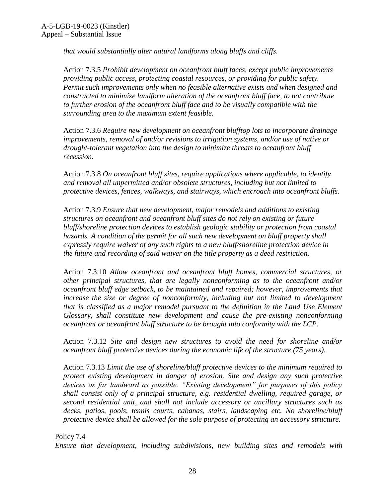*that would substantially alter natural landforms along bluffs and cliffs.* 

Action 7.3.5 *Prohibit development on oceanfront bluff faces, except public improvements providing public access, protecting coastal resources, or providing for public safety. Permit such improvements only when no feasible alternative exists and when designed and constructed to minimize landform alteration of the oceanfront bluff face, to not contribute to further erosion of the oceanfront bluff face and to be visually compatible with the surrounding area to the maximum extent feasible.* 

Action 7.3.6 *Require new development on oceanfront blufftop lots to incorporate drainage improvements, removal of and/or revisions to irrigation systems, and/or use of native or drought-tolerant vegetation into the design to minimize threats to oceanfront bluff recession.* 

Action 7.3.8 *On oceanfront bluff sites, require applications where applicable, to identify and removal all unpermitted and/or obsolete structures, including but not limited to protective devices, fences, walkways, and stairways, which encroach into oceanfront bluffs.* 

Action 7.3.9 *Ensure that new development, major remodels and additions to existing structures on oceanfront and oceanfront bluff sites do not rely on existing or future bluff/shoreline protection devices to establish geologic stability or protection from coastal hazards. A condition of the permit for all such new development on bluff property shall expressly require waiver of any such rights to a new bluff/shoreline protection device in the future and recording of said waiver on the title property as a deed restriction.* 

Action 7.3.10 *Allow oceanfront and oceanfront bluff homes, commercial structures, or other principal structures, that are legally nonconforming as to the oceanfront and/or oceanfront bluff edge setback, to be maintained and repaired; however, improvements that increase the size or degree of nonconformity, including but not limited to development that is classified as a major remodel pursuant to the definition in the Land Use Element Glossary, shall constitute new development and cause the pre-existing nonconforming oceanfront or oceanfront bluff structure to be brought into conformity with the LCP.* 

Action 7.3.12 *Site and design new structures to avoid the need for shoreline and/or oceanfront bluff protective devices during the economic life of the structure (75 years).* 

Action 7.3.13 *Limit the use of shoreline/bluff protective devices to the minimum required to protect existing development in danger of erosion. Site and design any such protective devices as far landward as possible. "Existing development" for purposes of this policy shall consist only of a principal structure, e.g. residential dwelling, required garage, or second residential unit, and shall not include accessory or ancillary structures such as decks, patios, pools, tennis courts, cabanas, stairs, landscaping etc. No shoreline/bluff protective device shall be allowed for the sole purpose of protecting an accessory structure.* 

Policy 7.4 *Ensure that development, including subdivisions, new building sites and remodels with*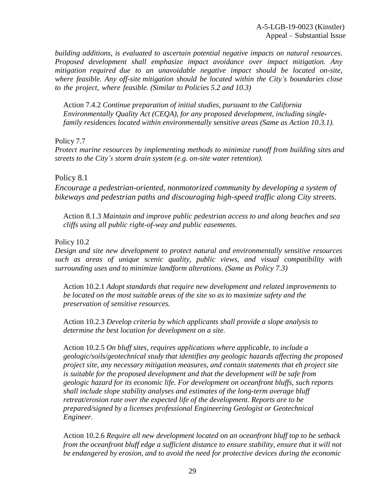*building additions, is evaluated to ascertain potential negative impacts on natural resources. Proposed development shall emphasize impact avoidance over impact mitigation. Any mitigation required due to an unavoidable negative impact should be located on-site, where feasible. Any off-site mitigation should be located within the City's boundaries close to the project, where feasible. (Similar to Policies 5.2 and 10.3)* 

Action 7.4.2 *Continue preparation of initial studies, pursuant to the California Environmentally Quality Act (CEQA), for any proposed development, including singlefamily residences located within environmentally sensitive areas (Same as Action 10.3.1).*

Policy 7.7

*Protect marine resources by implementing methods to minimize runoff from building sites and streets to the City's storm drain system (e.g. on-site water retention).* 

#### Policy 8.1

*Encourage a pedestrian-oriented, nonmotorized community by developing a system of bikeways and pedestrian paths and discouraging high-speed traffic along City streets.* 

Action 8.1.3 *Maintain and improve public pedestrian access to and along beaches and sea cliffs using all public right-of-way and public easements.*

#### Policy 10.2

*Design and site new development to protect natural and environmentally sensitive resources such as areas of unique scenic quality, public views, and visual compatibility with surrounding uses and to minimize landform alterations. (Same as Policy 7.3)* 

Action 10.2.1 *Adopt standards that require new development and related improvements to be located on the most suitable areas of the site so as to maximize safety and the preservation of sensitive resources.* 

Action 10.2.3 *Develop criteria by which applicants shall provide a slope analysis to determine the best location for development on a site.* 

Action 10.2.5 *On bluff sites, requires applications where applicable, to include a geologic/soils/geotechnical study that identifies any geologic hazards affecting the proposed project site, any necessary mitigation measures, and contain statements that eh project site is suitable for the proposed development and that the development will be safe from geologic hazard for its economic life. For development on oceanfront bluffs, such reports shall include slope stability analyses and estimates of the long-term average bluff retreat/erosion rate over the expected life of the development. Reports are to be prepared/signed by a licenses professional Engineering Geologist or Geotechnical Engineer.* 

Action 10.2.6 *Require all new development located on an oceanfront bluff top to be setback from the oceanfront bluff edge a sufficient distance to ensure stability, ensure that it will not be endangered by erosion, and to avoid the need for protective devices during the economic*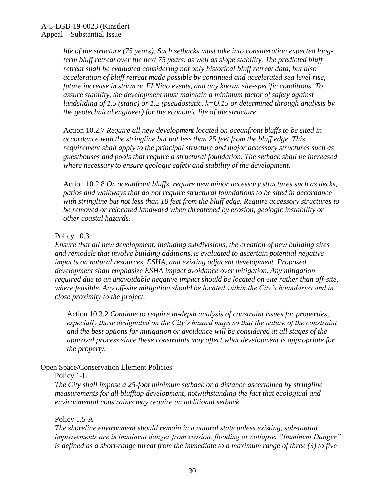*life of the structure (75 years). Such setbacks must take into consideration expected longterm bluff retreat over the next 75 years, as well as slope stability. The predicted bluff retreat shall be evaluated considering not only historical bluff retreat data, but also acceleration of bluff retreat made possible by continued and accelerated sea level rise, future increase in storm or EI Nino events, and any known site-specific conditions. To assure stability, the development must maintain a minimum factor of safety against landsliding of 1.5 (static) or 1.2 (pseudostatic, k=O.15 or determined through analysis by the geotechnical engineer) for the economic life of the structure.* 

Action 10.2.7 *Require all new development located on oceanfront bluffs to be sited in accordance with the stringline but not less than 25 feet from the bluff edge. This requirement shall apply to the principal structure and major accessory structures such as guesthouses and pools that require a structural foundation. The setback shall be increased where necessary to ensure geologic safety and stability of the development.* 

Action 10.2.8 *On oceanfront bluffs, require new minor accessory structures such as decks, patios and walkways that do not require structural foundations to be sited in accordance with stringline but not less than 10 feet from the bluff edge. Require accessory structures to be removed or relocated landward when threatened by erosion, geologic instability or other coastal hazards.* 

#### Policy 10.3

*Ensure that all new development, including subdivisions, the creation of new building sites and remodels that involve building additions, is evaluated to ascertain potential negative impacts on natural resources, ESHA, and existing adjacent development. Proposed development shall emphasize ESHA impact avoidance over mitigation. Any mitigation required due to an unavoidable negative impact should be located on-site rather than off-site, where feasible. Any off-site mitigation should be located within the City's boundaries and in close proximity to the project.* 

Action 10.3.2 *Continue to require in-depth analysis of constraint issues for properties, especially those designated on the City's hazard maps so that the nature of the constraint and the best options for mitigation or avoidance will be considered at all stages of the approval process since these constraints may affect what development is appropriate for the property.* 

Open Space/Conservation Element Policies –

#### Policy 1-L

*The City shall impose a 25-foot minimum setback or a distance ascertained by stringline measurements for all blufftop development, notwithstanding the fact that ecological and environmental constraints may require an additional setback.* 

#### Policy 1.5-A

*The shoreline environment should remain in a natural state unless existing, substantial improvements are in imminent danger from erosion, flooding or collapse. "Imminent Danger" is defined as a short-range threat from the immediate to a maximum range of three (3) to five*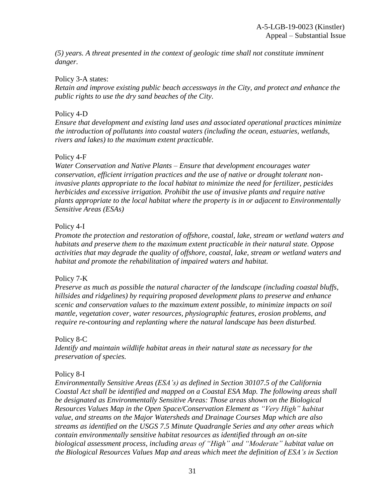*(5) years. A threat presented in the context of geologic time shall not constitute imminent danger.* 

#### Policy 3-A states:

*Retain and improve existing public beach accessways in the City, and protect and enhance the public rights to use the dry sand beaches of the City.* 

#### Policy 4-D

*Ensure that development and existing land uses and associated operational practices minimize the introduction of pollutants into coastal waters (including the ocean, estuaries, wetlands, rivers and lakes) to the maximum extent practicable.* 

#### Policy 4-F

*Water Conservation and Native Plants – Ensure that development encourages water conservation, efficient irrigation practices and the use of native or drought tolerant noninvasive plants appropriate to the local habitat to minimize the need for fertilizer, pesticides herbicides and excessive irrigation. Prohibit the use of invasive plants and require native plants appropriate to the local habitat where the property is in or adjacent to Environmentally Sensitive Areas (ESAs)*

#### Policy 4-I

*Promote the protection and restoration of offshore, coastal, lake, stream or wetland waters and habitats and preserve them to the maximum extent practicable in their natural state. Oppose activities that may degrade the quality of offshore, coastal, lake, stream or wetland waters and habitat and promote the rehabilitation of impaired waters and habitat.* 

#### Policy 7-K

*Preserve as much as possible the natural character of the landscape (including coastal bluffs, hillsides and ridgelines) by requiring proposed development plans to preserve and enhance scenic and conservation values to the maximum extent possible, to minimize impacts on soil mantle, vegetation cover, water resources, physiographic features, erosion problems, and require re-contouring and replanting where the natural landscape has been disturbed.* 

#### Policy 8-C

*Identify and maintain wildlife habitat areas in their natural state as necessary for the preservation of species.* 

#### Policy 8-I

*Environmentally Sensitive Areas (ESA's) as defined in Section 30107.5 of the California Coastal Act shall be identified and mapped on a Coastal ESA Map. The following areas shall be designated as Environmentally Sensitive Areas: Those areas shown on the Biological Resources Values Map in the Open Space/Conservation Element as "Very High" habitat value, and streams on the Major Watersheds and Drainage Courses Map which are also streams as identified on the USGS 7.5 Minute Quadrangle Series and any other areas which contain environmentally sensitive habitat resources as identified through an on-site biological assessment process, including areas of "High" and "Moderate" habitat value on the Biological Resources Values Map and areas which meet the definition of ESA's in Section*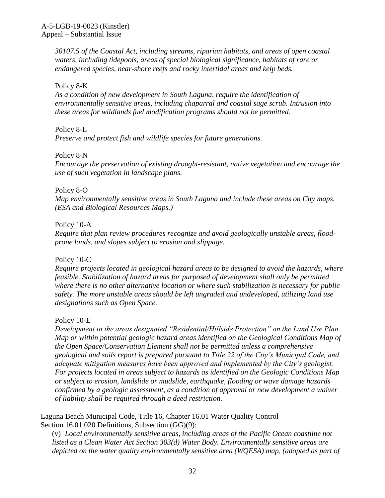*30107.5 of the Coastal Act, including streams, riparian habitats, and areas of open coastal waters, including tidepools, areas of special biological significance, habitats of rare or endangered species, near-shore reefs and rocky intertidal areas and kelp beds.*

Policy 8-K

*As a condition of new development in South Laguna, require the identification of environmentally sensitive areas, including chaparral and coastal sage scrub. Intrusion into these areas for wildlands fuel modification programs should not be permitted.* 

Policy 8-L

*Preserve and protect fish and wildlife species for future generations.* 

Policy 8-N

*Encourage the preservation of existing drought-resistant, native vegetation and encourage the use of such vegetation in landscape plans.*

Policy 8-O

*Map environmentally sensitive areas in South Laguna and include these areas on City maps. (ESA and Biological Resources Maps.)* 

Policy 10-A

*Require that plan review procedures recognize and avoid geologically unstable areas, floodprone lands, and slopes subject to erosion and slippage.* 

Policy 10-C

*Require projects located in geological hazard areas to be designed to avoid the hazards, where feasible. Stabilization of hazard areas for purposed of development shall only be permitted where there is no other alternative location or where such stabilization is necessary for public safety. The more unstable areas should be left ungraded and undeveloped, utilizing land use designations such as Open Space.* 

Policy 10-E

*Development in the areas designated "Residential/Hillside Protection" on the Land Use Plan Map or within potential geologic hazard areas identified on the Geological Conditions Map of the Open Space/Conservation Element shall not be permitted unless a comprehensive geological and soils report is prepared pursuant to Title 22 of the City's Municipal Code, and adequate mitigation measures have been approved and implemented by the City's geologist. For projects located in areas subject to hazards as identified on the Geologic Conditions Map or subject to erosion, landslide or mudslide, earthquake, flooding or wave damage hazards confirmed by a geologic assessment, as a condition of approval or new development a waiver of liability shall be required through a deed restriction.* 

Laguna Beach Municipal Code, Title 16, Chapter 16.01 Water Quality Control – Section 16.01.020 Definitions, Subsection (GG)(9):

(v) *Local environmentally sensitive areas, including areas of the Pacific Ocean coastline not listed as a Clean Water Act Section 303(d) Water Body. Environmentally sensitive areas are depicted on the water quality environmentally sensitive area (WQESA) map, (adopted as part of*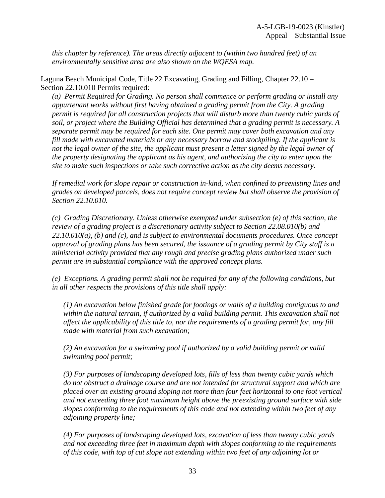*this chapter by reference). The areas directly adjacent to (within two hundred feet) of an environmentally sensitive area are also shown on the WQESA map.* 

Laguna Beach Municipal Code, Title 22 Excavating, Grading and Filling, Chapter 22.10 – Section 22.10.010 Permits required:

*(a) Permit Required for Grading. No person shall commence or perform grading or install any appurtenant works without first having obtained a grading permit from the City. A grading permit is required for all construction projects that will disturb more than twenty cubic yards of soil, or project where the Building Official has determined that a grading permit is necessary. A separate permit may be required for each site. One permit may cover both excavation and any fill made with excavated materials or any necessary borrow and stockpiling. If the applicant is not the legal owner of the site, the applicant must present a letter signed by the legal owner of the property designating the applicant as his agent, and authorizing the city to enter upon the site to make such inspections or take such corrective action as the city deems necessary.* 

*If remedial work for slope repair or construction in-kind, when confined to preexisting lines and grades on developed parcels, does not require concept review but shall observe the provision of Section 22.10.010.* 

*(c) Grading Discretionary. Unless otherwise exempted under subsection (e) of this section, the review of a grading project is a discretionary activity subject to Section 22.08.010(b) and 22.10.010(a), (b) and (c), and is subject to environmental documents procedures. Once concept approval of grading plans has been secured, the issuance of a grading permit by City staff is a ministerial activity provided that any rough and precise grading plans authorized under such permit are in substantial compliance with the approved concept plans.* 

*(e) Exceptions. A grading permit shall not be required for any of the following conditions, but in all other respects the provisions of this title shall apply:* 

*(1) An excavation below finished grade for footings or walls of a building contiguous to and within the natural terrain, if authorized by a valid building permit. This excavation shall not affect the applicability of this title to, nor the requirements of a grading permit for, any fill made with material from such excavation;* 

*(2) An excavation for a swimming pool if authorized by a valid building permit or valid swimming pool permit;* 

*(3) For purposes of landscaping developed lots, fills of less than twenty cubic yards which do not obstruct a drainage course and are not intended for structural support and which are placed over an existing ground sloping not more than four feet horizontal to one foot vertical and not exceeding three foot maximum height above the preexisting ground surface with side slopes conforming to the requirements of this code and not extending within two feet of any adjoining property line;* 

*(4) For purposes of landscaping developed lots, excavation of less than twenty cubic yards and not exceeding three feet in maximum depth with slopes conforming to the requirements of this code, with top of cut slope not extending within two feet of any adjoining lot or*